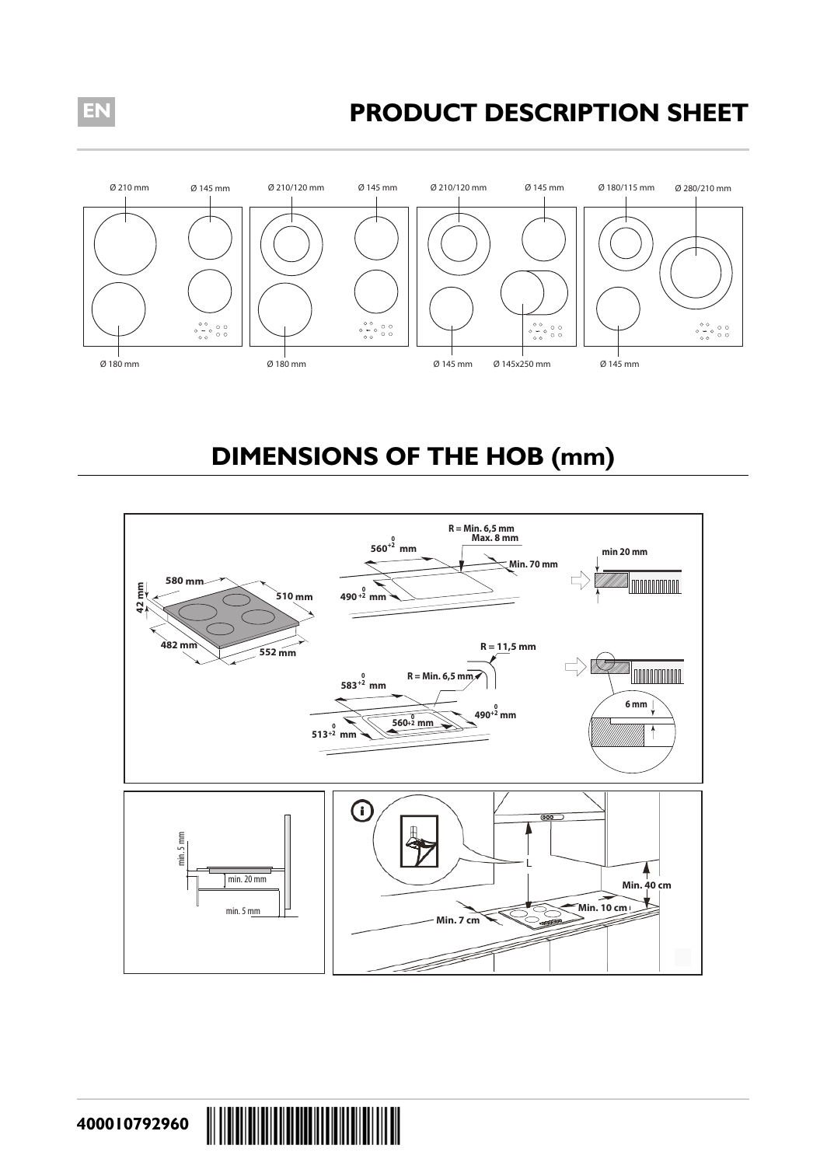## **EN PRODUCT DESCRIPTION SHEET**



## **DIMENSIONS OF THE HOB (mm)**